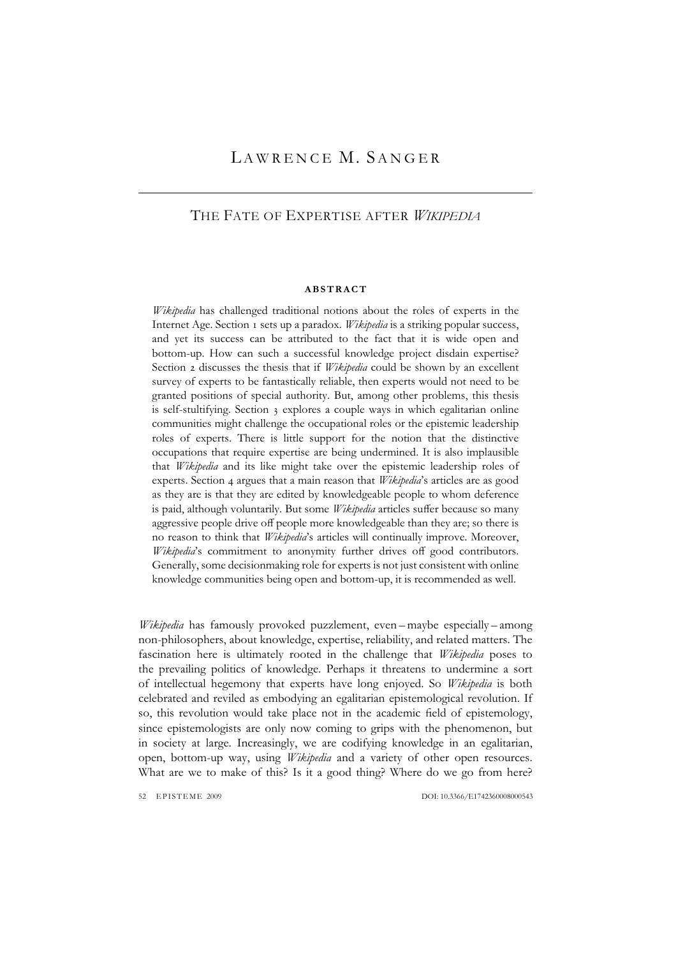# LAWRENCE M. SANGER

## THE FATE OF EXPERTISE AFTER *WIKIPEDIA*

#### **ABSTRACT**

*Wikipedia* has challenged traditional notions about the roles of experts in the Internet Age. Section 1 sets up a paradox. *Wikipedia* is a striking popular success, and yet its success can be attributed to the fact that it is wide open and bottom-up. How can such a successful knowledge project disdain expertise? Section 2 discusses the thesis that if *Wikipedia* could be shown by an excellent survey of experts to be fantastically reliable, then experts would not need to be granted positions of special authority. But, among other problems, this thesis is self-stultifying. Section 3 explores a couple ways in which egalitarian online communities might challenge the occupational roles or the epistemic leadership roles of experts. There is little support for the notion that the distinctive occupations that require expertise are being undermined. It is also implausible that *Wikipedia* and its like might take over the epistemic leadership roles of experts. Section 4 argues that a main reason that *Wikipedia*'s articles are as good as they are is that they are edited by knowledgeable people to whom deference is paid, although voluntarily. But some *Wikipedia* articles suffer because so many aggressive people drive off people more knowledgeable than they are; so there is no reason to think that *Wikipedia*'s articles will continually improve. Moreover, *Wikipedia*'s commitment to anonymity further drives off good contributors. Generally, some decisionmaking role for experts is not just consistent with online knowledge communities being open and bottom-up, it is recommended as well.

*Wikipedia* has famously provoked puzzlement, even – maybe especially – among non-philosophers, about knowledge, expertise, reliability, and related matters. The fascination here is ultimately rooted in the challenge that *Wikipedia* poses to the prevailing politics of knowledge. Perhaps it threatens to undermine a sort of intellectual hegemony that experts have long enjoyed. So *Wikipedia* is both celebrated and reviled as embodying an egalitarian epistemological revolution. If so, this revolution would take place not in the academic field of epistemology, since epistemologists are only now coming to grips with the phenomenon, but in society at large. Increasingly, we are codifying knowledge in an egalitarian, open, bottom-up way, using *Wikipedia* and a variety of other open resources. What are we to make of this? Is it a good thing? Where do we go from here?

52 EPISTEME 2009 DOI: 10.3366/E174236000800543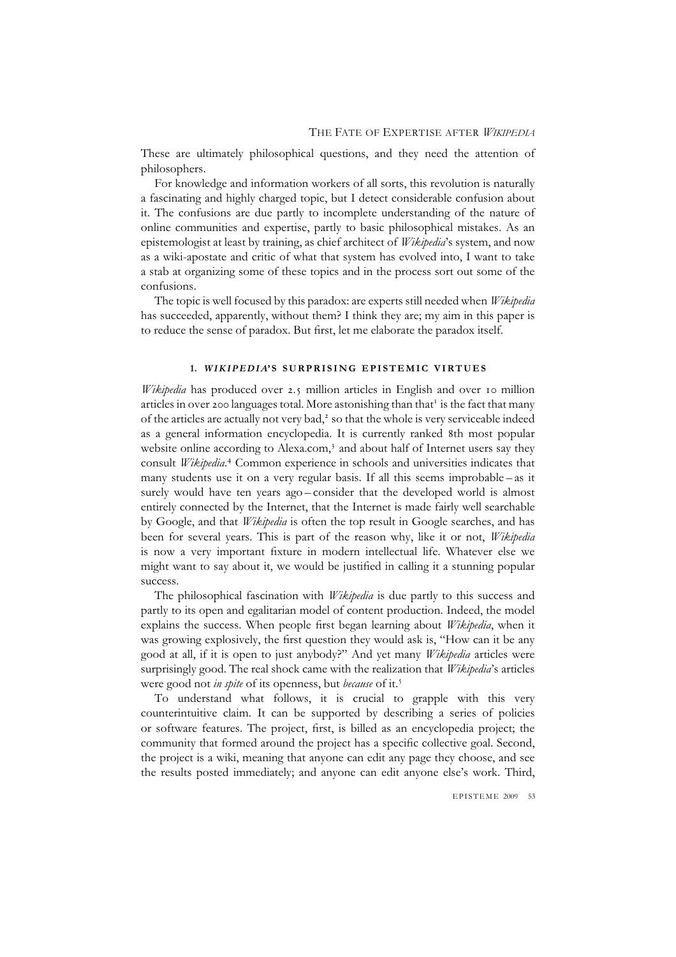These are ultimately philosophical questions, and they need the attention of philosophers.

For knowledge and information workers of all sorts, this revolution is naturally a fascinating and highly charged topic, but I detect considerable confusion about it. The confusions are due partly to incomplete understanding of the nature of online communities and expertise, partly to basic philosophical mistakes. As an epistemologist at least by training, as chief architect of *Wikipedia*'s system, and now as a wiki-apostate and critic of what that system has evolved into, I want to take a stab at organizing some of these topics and in the process sort out some of the confusions.

The topic is well focused by this paradox: are experts still needed when *Wikipedia* has succeeded, apparently, without them? I think they are; my aim in this paper is to reduce the sense of paradox. But first, let me elaborate the paradox itself.

## **1.** *WIKIPEDIA***'S SURPRISING EPISTEMIC VIRTUES**

*Wikipedia* has produced over 2.5 million articles in English and over 10 million articles in over 200 languages total. More astonishing than that<sup>1</sup> is the fact that many of the articles are actually not very bad,<sup>2</sup> so that the whole is very serviceable indeed as a general information encyclopedia. It is currently ranked 8th most popular website online according to Alexa.com,<sup>3</sup> and about half of Internet users say they consult *Wikipedia*. <sup>4</sup> Common experience in schools and universities indicates that many students use it on a very regular basis. If all this seems improbable – as it surely would have ten years ago – consider that the developed world is almost entirely connected by the Internet, that the Internet is made fairly well searchable by Google, and that *Wikipedia* is often the top result in Google searches, and has been for several years. This is part of the reason why, like it or not, *Wikipedia* is now a very important fixture in modern intellectual life. Whatever else we might want to say about it, we would be justified in calling it a stunning popular success.

The philosophical fascination with *Wikipedia* is due partly to this success and partly to its open and egalitarian model of content production. Indeed, the model explains the success. When people first began learning about *Wikipedia*, when it was growing explosively, the first question they would ask is, "How can it be any good at all, if it is open to just anybody?" And yet many *Wikipedia* articles were surprisingly good. The real shock came with the realization that *Wikipedia*'s articles were good not *in spite* of its openness, but *because* of it.<sup>5</sup>

To understand what follows, it is crucial to grapple with this very counterintuitive claim. It can be supported by describing a series of policies or software features. The project, first, is billed as an encyclopedia project; the community that formed around the project has a specific collective goal. Second, the project is a wiki, meaning that anyone can edit any page they choose, and see the results posted immediately; and anyone can edit anyone else's work. Third,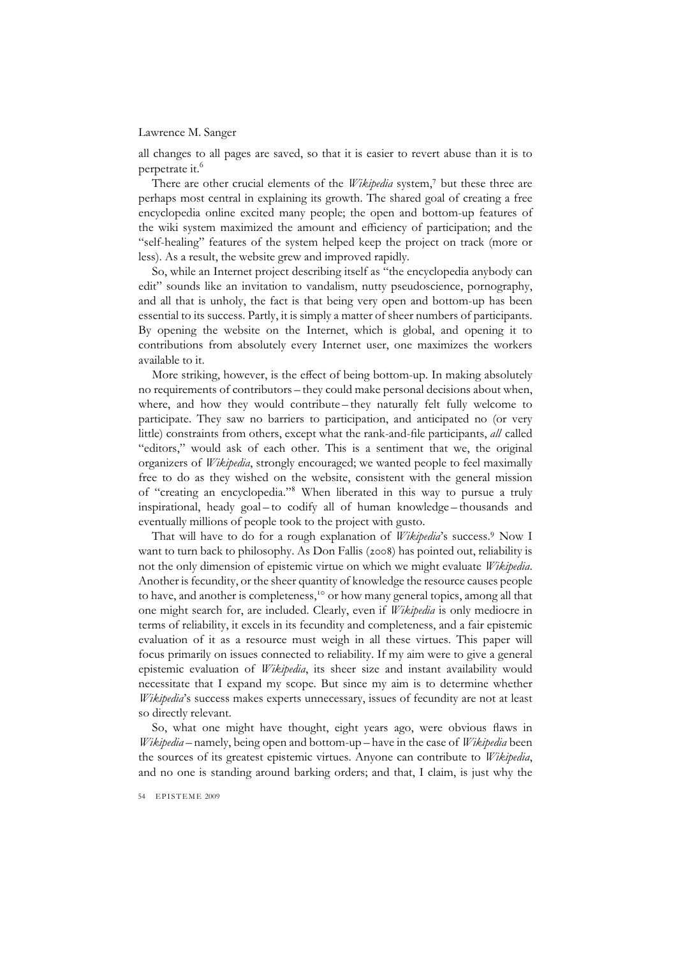all changes to all pages are saved, so that it is easier to revert abuse than it is to perpetrate it.<sup>6</sup>

There are other crucial elements of the *Wikipedia* system,<sup>7</sup> but these three are perhaps most central in explaining its growth. The shared goal of creating a free encyclopedia online excited many people; the open and bottom-up features of the wiki system maximized the amount and efficiency of participation; and the "self-healing" features of the system helped keep the project on track (more or less). As a result, the website grew and improved rapidly.

So, while an Internet project describing itself as "the encyclopedia anybody can edit" sounds like an invitation to vandalism, nutty pseudoscience, pornography, and all that is unholy, the fact is that being very open and bottom-up has been essential to its success. Partly, it is simply a matter of sheer numbers of participants. By opening the website on the Internet, which is global, and opening it to contributions from absolutely every Internet user, one maximizes the workers available to it.

More striking, however, is the effect of being bottom-up. In making absolutely no requirements of contributors – they could make personal decisions about when, where, and how they would contribute – they naturally felt fully welcome to participate. They saw no barriers to participation, and anticipated no (or very little) constraints from others, except what the rank-and-file participants, *all* called "editors," would ask of each other. This is a sentiment that we, the original organizers of *Wikipedia*, strongly encouraged; we wanted people to feel maximally free to do as they wished on the website, consistent with the general mission of "creating an encyclopedia."8 When liberated in this way to pursue a truly inspirational, heady goal – to codify all of human knowledge – thousands and eventually millions of people took to the project with gusto.

That will have to do for a rough explanation of *Wikipedia*'s success.<sup>9</sup> Now I want to turn back to philosophy. As Don Fallis (2008) has pointed out, reliability is not the only dimension of epistemic virtue on which we might evaluate *Wikipedia*. Another is fecundity, or the sheer quantity of knowledge the resource causes people to have, and another is completeness,<sup>10</sup> or how many general topics, among all that one might search for, are included. Clearly, even if *Wikipedia* is only mediocre in terms of reliability, it excels in its fecundity and completeness, and a fair epistemic evaluation of it as a resource must weigh in all these virtues. This paper will focus primarily on issues connected to reliability. If my aim were to give a general epistemic evaluation of *Wikipedia*, its sheer size and instant availability would necessitate that I expand my scope. But since my aim is to determine whether *Wikipedia*'s success makes experts unnecessary, issues of fecundity are not at least so directly relevant.

So, what one might have thought, eight years ago, were obvious flaws in *Wikipedia* – namely, being open and bottom-up – have in the case of *Wikipedia* been the sources of its greatest epistemic virtues. Anyone can contribute to *Wikipedia*, and no one is standing around barking orders; and that, I claim, is just why the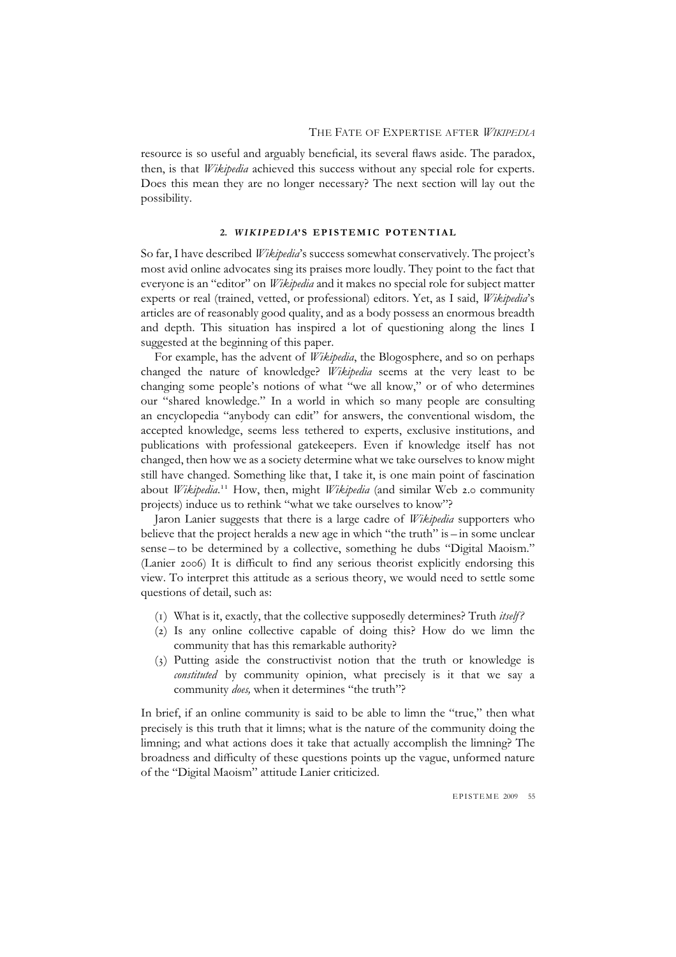resource is so useful and arguably beneficial, its several flaws aside. The paradox, then, is that *Wikipedia* achieved this success without any special role for experts. Does this mean they are no longer necessary? The next section will lay out the possibility.

## **2.** *WIKIPEDIA***'S EPISTEMIC POTENTIAL**

So far, I have described *Wikipedia*'s success somewhat conservatively. The project's most avid online advocates sing its praises more loudly. They point to the fact that everyone is an "editor" on *Wikipedia* and it makes no special role for subject matter experts or real (trained, vetted, or professional) editors. Yet, as I said, *Wikipedia*'s articles are of reasonably good quality, and as a body possess an enormous breadth and depth. This situation has inspired a lot of questioning along the lines I suggested at the beginning of this paper.

For example, has the advent of *Wikipedia*, the Blogosphere, and so on perhaps changed the nature of knowledge? *Wikipedia* seems at the very least to be changing some people's notions of what "we all know," or of who determines our "shared knowledge." In a world in which so many people are consulting an encyclopedia "anybody can edit" for answers, the conventional wisdom, the accepted knowledge, seems less tethered to experts, exclusive institutions, and publications with professional gatekeepers. Even if knowledge itself has not changed, then how we as a society determine what we take ourselves to know might still have changed. Something like that, I take it, is one main point of fascination about *Wikipedia*. <sup>11</sup> How, then, might *Wikipedia* (and similar Web 2.0 community projects) induce us to rethink "what we take ourselves to know"?

Jaron Lanier suggests that there is a large cadre of *Wikipedia* supporters who believe that the project heralds a new age in which "the truth" is – in some unclear sense – to be determined by a collective, something he dubs "Digital Maoism." (Lanier 2006) It is difficult to find any serious theorist explicitly endorsing this view. To interpret this attitude as a serious theory, we would need to settle some questions of detail, such as:

- (1) What is it, exactly, that the collective supposedly determines? Truth *itself ?*
- (2) Is any online collective capable of doing this? How do we limn the community that has this remarkable authority?
- (3) Putting aside the constructivist notion that the truth or knowledge is *constituted* by community opinion, what precisely is it that we say a community *does,* when it determines "the truth"?

In brief, if an online community is said to be able to limn the "true," then what precisely is this truth that it limns; what is the nature of the community doing the limning; and what actions does it take that actually accomplish the limning? The broadness and difficulty of these questions points up the vague, unformed nature of the "Digital Maoism" attitude Lanier criticized.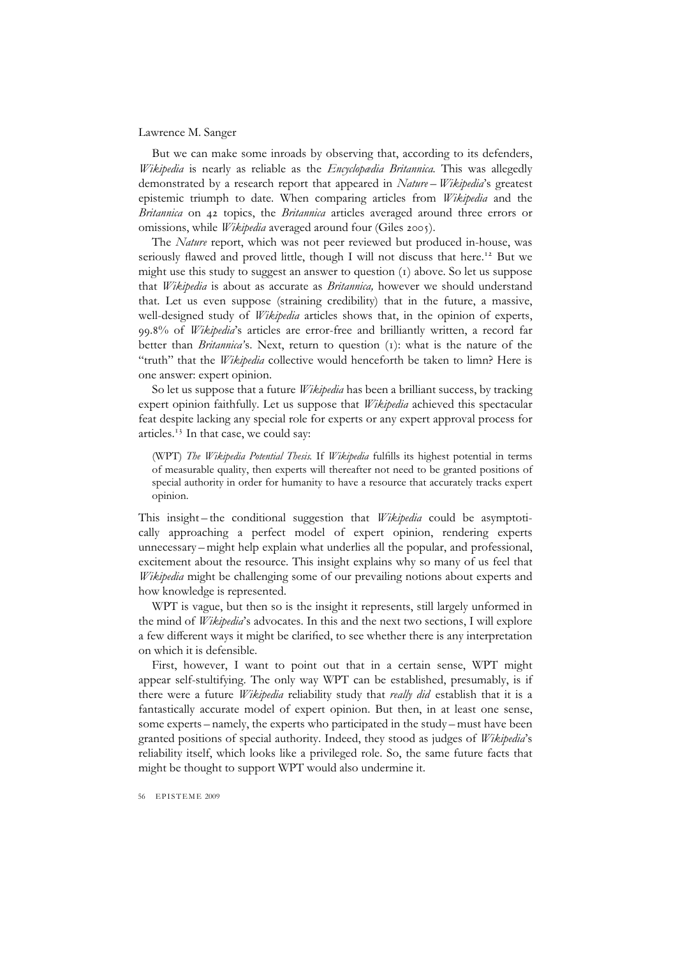But we can make some inroads by observing that, according to its defenders, *Wikipedia* is nearly as reliable as the *Encyclopædia Britannica.* This was allegedly demonstrated by a research report that appeared in *Nature* – *Wikipedia*'s greatest epistemic triumph to date. When comparing articles from *Wikipedia* and the *Britannica* on 42 topics, the *Britannica* articles averaged around three errors or omissions, while *Wikipedia* averaged around four (Giles 2005).

The *Nature* report, which was not peer reviewed but produced in-house, was seriously flawed and proved little, though I will not discuss that here.<sup>12</sup> But we might use this study to suggest an answer to question (1) above. So let us suppose that *Wikipedia* is about as accurate as *Britannica,* however we should understand that. Let us even suppose (straining credibility) that in the future, a massive, well-designed study of *Wikipedia* articles shows that, in the opinion of experts, 99.8% of *Wikipedia*'s articles are error-free and brilliantly written, a record far better than *Britannica'*s. Next, return to question (1): what is the nature of the "truth" that the *Wikipedia* collective would henceforth be taken to limn? Here is one answer: expert opinion.

So let us suppose that a future *Wikipedia* has been a brilliant success, by tracking expert opinion faithfully. Let us suppose that *Wikipedia* achieved this spectacular feat despite lacking any special role for experts or any expert approval process for articles.<sup>13</sup> In that case, we could say:

(WPT) *The Wikipedia Potential Thesis.* If *Wikipedia* fulfills its highest potential in terms of measurable quality, then experts will thereafter not need to be granted positions of special authority in order for humanity to have a resource that accurately tracks expert opinion.

This insight – the conditional suggestion that *Wikipedia* could be asymptotically approaching a perfect model of expert opinion, rendering experts unnecessary – might help explain what underlies all the popular, and professional, excitement about the resource. This insight explains why so many of us feel that *Wikipedia* might be challenging some of our prevailing notions about experts and how knowledge is represented.

WPT is vague, but then so is the insight it represents, still largely unformed in the mind of *Wikipedia*'s advocates. In this and the next two sections, I will explore a few different ways it might be clarified, to see whether there is any interpretation on which it is defensible.

First, however, I want to point out that in a certain sense, WPT might appear self-stultifying. The only way WPT can be established, presumably, is if there were a future *Wikipedia* reliability study that *really did* establish that it is a fantastically accurate model of expert opinion. But then, in at least one sense, some experts – namely, the experts who participated in the study – must have been granted positions of special authority. Indeed, they stood as judges of *Wikipedia*'s reliability itself, which looks like a privileged role. So, the same future facts that might be thought to support WPT would also undermine it.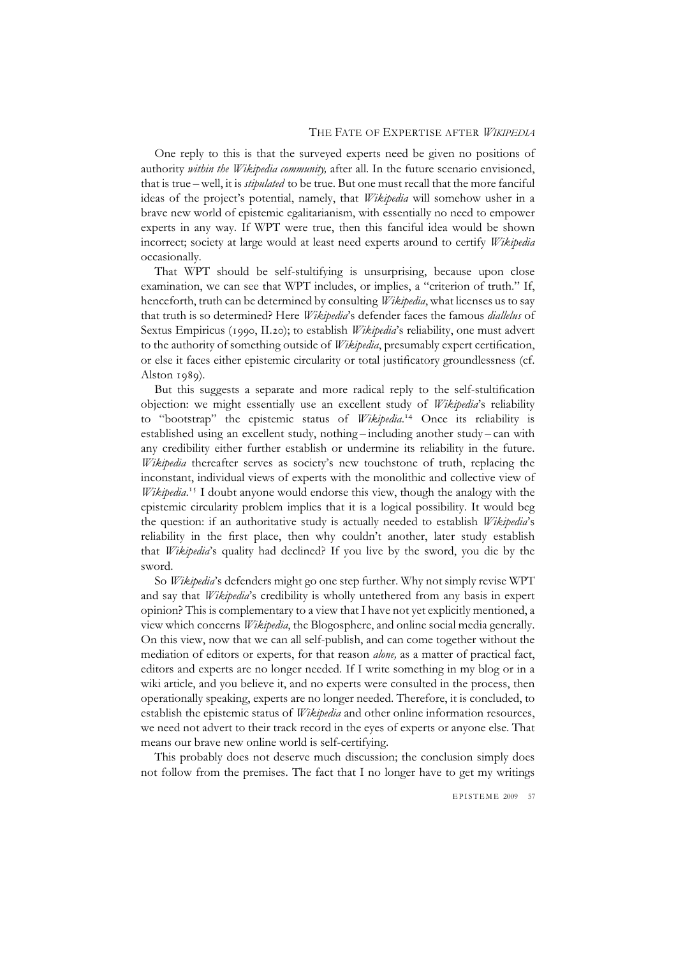One reply to this is that the surveyed experts need be given no positions of authority *within the Wikipedia community,* after all. In the future scenario envisioned, that is true – well, it is *stipulated* to be true. But one must recall that the more fanciful ideas of the project's potential, namely, that *Wikipedia* will somehow usher in a brave new world of epistemic egalitarianism, with essentially no need to empower experts in any way. If WPT were true, then this fanciful idea would be shown incorrect; society at large would at least need experts around to certify *Wikipedia* occasionally.

That WPT should be self-stultifying is unsurprising, because upon close examination, we can see that WPT includes, or implies, a "criterion of truth." If, henceforth, truth can be determined by consulting *Wikipedia*, what licenses us to say that truth is so determined? Here *Wikipedia*'s defender faces the famous *diallelus* of Sextus Empiricus (1990, II.20); to establish *Wikipedia*'s reliability, one must advert to the authority of something outside of *Wikipedia*, presumably expert certification, or else it faces either epistemic circularity or total justificatory groundlessness (cf. Alston 1989).

But this suggests a separate and more radical reply to the self-stultification objection: we might essentially use an excellent study of *Wikipedia*'s reliability to "bootstrap" the epistemic status of *Wikipedia*. <sup>14</sup> Once its reliability is established using an excellent study, nothing – including another study – can with any credibility either further establish or undermine its reliability in the future. *Wikipedia* thereafter serves as society's new touchstone of truth, replacing the inconstant, individual views of experts with the monolithic and collective view of *Wikipedia*. <sup>15</sup> I doubt anyone would endorse this view, though the analogy with the epistemic circularity problem implies that it is a logical possibility. It would beg the question: if an authoritative study is actually needed to establish *Wikipedia*'s reliability in the first place, then why couldn't another, later study establish that *Wikipedia*'s quality had declined? If you live by the sword, you die by the sword.

So *Wikipedia*'s defenders might go one step further. Why not simply revise WPT and say that *Wikipedia*'s credibility is wholly untethered from any basis in expert opinion? This is complementary to a view that I have not yet explicitly mentioned, a view which concerns *Wikipedia*, the Blogosphere, and online social media generally. On this view, now that we can all self-publish, and can come together without the mediation of editors or experts, for that reason *alone,* as a matter of practical fact, editors and experts are no longer needed. If I write something in my blog or in a wiki article, and you believe it, and no experts were consulted in the process, then operationally speaking, experts are no longer needed. Therefore, it is concluded, to establish the epistemic status of *Wikipedia* and other online information resources, we need not advert to their track record in the eyes of experts or anyone else. That means our brave new online world is self-certifying.

This probably does not deserve much discussion; the conclusion simply does not follow from the premises. The fact that I no longer have to get my writings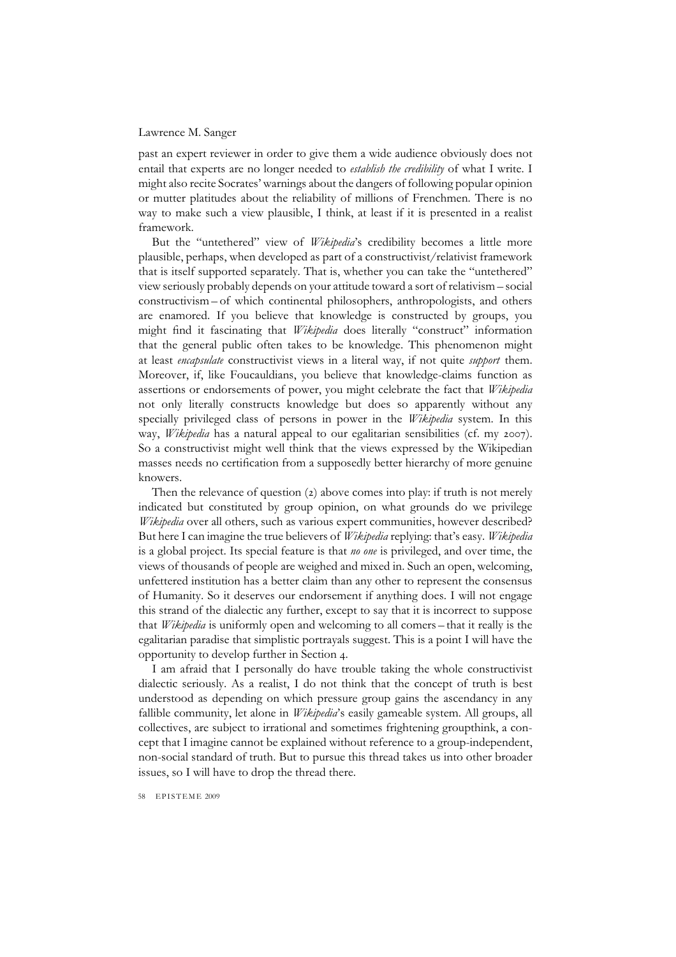past an expert reviewer in order to give them a wide audience obviously does not entail that experts are no longer needed to *establish the credibility* of what I write. I might also recite Socrates' warnings about the dangers of following popular opinion or mutter platitudes about the reliability of millions of Frenchmen. There is no way to make such a view plausible, I think, at least if it is presented in a realist framework.

But the "untethered" view of *Wikipedia*'s credibility becomes a little more plausible, perhaps, when developed as part of a constructivist/relativist framework that is itself supported separately. That is, whether you can take the "untethered" view seriously probably depends on your attitude toward a sort of relativism – social constructivism – of which continental philosophers, anthropologists, and others are enamored. If you believe that knowledge is constructed by groups, you might find it fascinating that *Wikipedia* does literally "construct" information that the general public often takes to be knowledge. This phenomenon might at least *encapsulate* constructivist views in a literal way, if not quite *support* them. Moreover, if, like Foucauldians, you believe that knowledge-claims function as assertions or endorsements of power, you might celebrate the fact that *Wikipedia* not only literally constructs knowledge but does so apparently without any specially privileged class of persons in power in the *Wikipedia* system. In this way, *Wikipedia* has a natural appeal to our egalitarian sensibilities (cf. my 2007). So a constructivist might well think that the views expressed by the Wikipedian masses needs no certification from a supposedly better hierarchy of more genuine knowers.

Then the relevance of question (2) above comes into play: if truth is not merely indicated but constituted by group opinion, on what grounds do we privilege *Wikipedia* over all others, such as various expert communities, however described? But here I can imagine the true believers of *Wikipedia* replying: that's easy. *Wikipedia* is a global project. Its special feature is that *no one* is privileged, and over time, the views of thousands of people are weighed and mixed in. Such an open, welcoming, unfettered institution has a better claim than any other to represent the consensus of Humanity. So it deserves our endorsement if anything does. I will not engage this strand of the dialectic any further, except to say that it is incorrect to suppose that *Wikipedia* is uniformly open and welcoming to all comers – that it really is the egalitarian paradise that simplistic portrayals suggest. This is a point I will have the opportunity to develop further in Section 4.

I am afraid that I personally do have trouble taking the whole constructivist dialectic seriously. As a realist, I do not think that the concept of truth is best understood as depending on which pressure group gains the ascendancy in any fallible community, let alone in *Wikipedia*'s easily gameable system. All groups, all collectives, are subject to irrational and sometimes frightening groupthink, a concept that I imagine cannot be explained without reference to a group-independent, non-social standard of truth. But to pursue this thread takes us into other broader issues, so I will have to drop the thread there.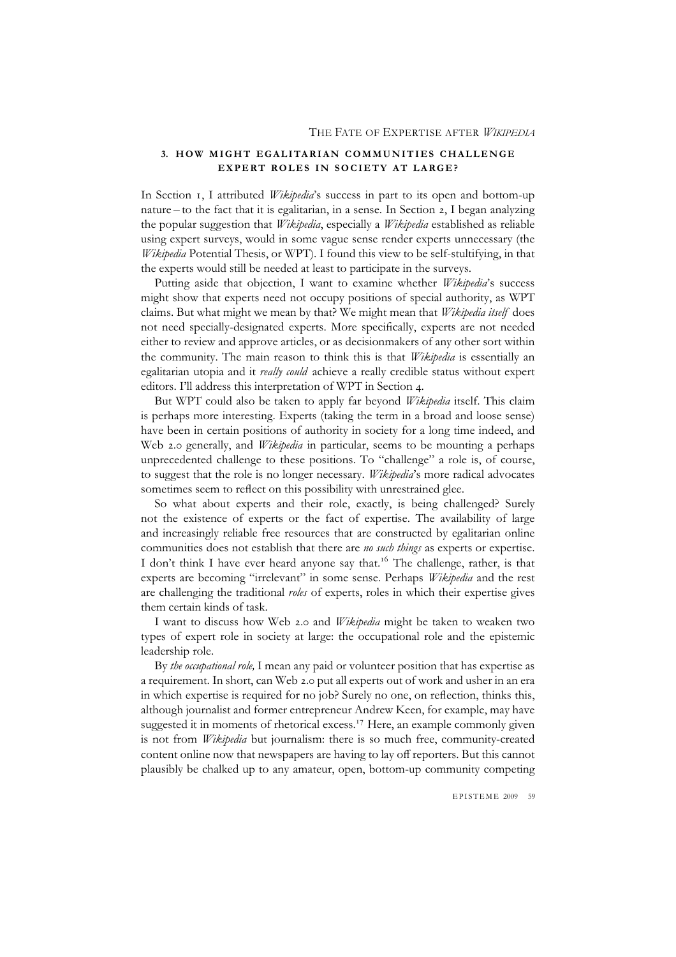## **3. HOW MIGHT EGALITARIAN COMMUNITIES CHALLENGE EXPERT ROLES IN SOCIETY AT LARGE?**

In Section 1, I attributed *Wikipedia*'s success in part to its open and bottom-up nature – to the fact that it is egalitarian, in a sense. In Section 2, I began analyzing the popular suggestion that *Wikipedia*, especially a *Wikipedia* established as reliable using expert surveys, would in some vague sense render experts unnecessary (the *Wikipedia* Potential Thesis, or WPT). I found this view to be self-stultifying, in that the experts would still be needed at least to participate in the surveys.

Putting aside that objection, I want to examine whether *Wikipedia*'s success might show that experts need not occupy positions of special authority, as WPT claims. But what might we mean by that? We might mean that *Wikipedia itself* does not need specially-designated experts. More specifically, experts are not needed either to review and approve articles, or as decisionmakers of any other sort within the community. The main reason to think this is that *Wikipedia* is essentially an egalitarian utopia and it *really could* achieve a really credible status without expert editors. I'll address this interpretation of WPT in Section 4.

But WPT could also be taken to apply far beyond *Wikipedia* itself. This claim is perhaps more interesting. Experts (taking the term in a broad and loose sense) have been in certain positions of authority in society for a long time indeed, and Web 2.0 generally, and *Wikipedia* in particular, seems to be mounting a perhaps unprecedented challenge to these positions. To "challenge" a role is, of course, to suggest that the role is no longer necessary. *Wikipedia*'s more radical advocates sometimes seem to reflect on this possibility with unrestrained glee.

So what about experts and their role, exactly, is being challenged? Surely not the existence of experts or the fact of expertise. The availability of large and increasingly reliable free resources that are constructed by egalitarian online communities does not establish that there are *no such things* as experts or expertise. I don't think I have ever heard anyone say that.<sup>16</sup> The challenge, rather, is that experts are becoming "irrelevant" in some sense. Perhaps *Wikipedia* and the rest are challenging the traditional *roles* of experts, roles in which their expertise gives them certain kinds of task.

I want to discuss how Web 2.0 and *Wikipedia* might be taken to weaken two types of expert role in society at large: the occupational role and the epistemic leadership role.

By *the occupational role,* I mean any paid or volunteer position that has expertise as a requirement. In short, can Web 2.0 put all experts out of work and usher in an era in which expertise is required for no job? Surely no one, on reflection, thinks this, although journalist and former entrepreneur Andrew Keen, for example, may have suggested it in moments of rhetorical excess.<sup>17</sup> Here, an example commonly given is not from *Wikipedia* but journalism: there is so much free, community-created content online now that newspapers are having to lay off reporters. But this cannot plausibly be chalked up to any amateur, open, bottom-up community competing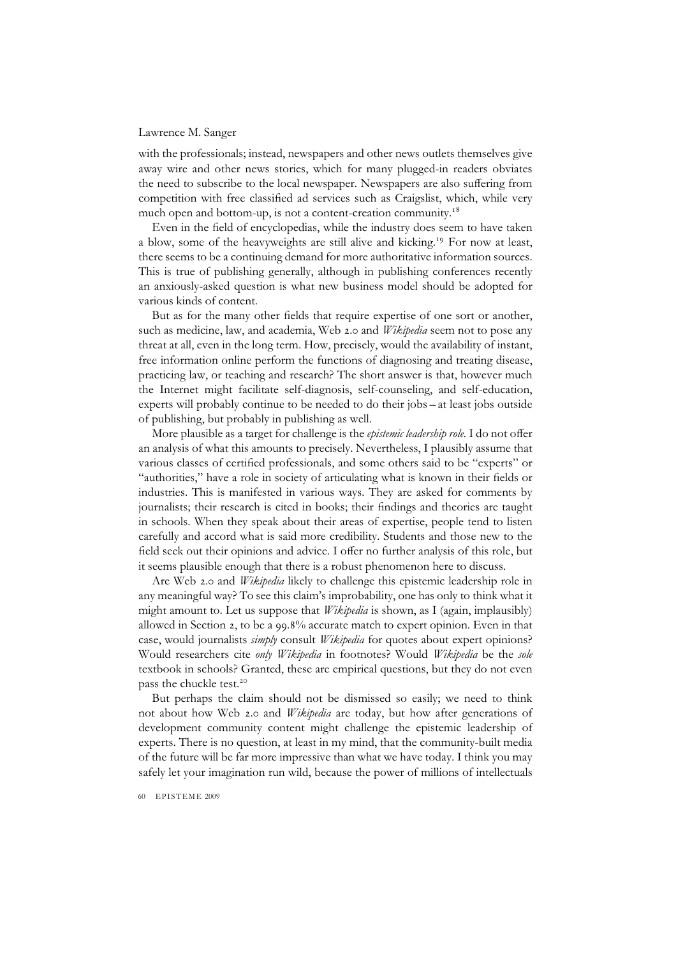with the professionals; instead, newspapers and other news outlets themselves give away wire and other news stories, which for many plugged-in readers obviates the need to subscribe to the local newspaper. Newspapers are also suffering from competition with free classified ad services such as Craigslist, which, while very much open and bottom-up, is not a content-creation community.<sup>18</sup>

Even in the field of encyclopedias, while the industry does seem to have taken a blow, some of the heavyweights are still alive and kicking.<sup>19</sup> For now at least, there seems to be a continuing demand for more authoritative information sources. This is true of publishing generally, although in publishing conferences recently an anxiously-asked question is what new business model should be adopted for various kinds of content.

But as for the many other fields that require expertise of one sort or another, such as medicine, law, and academia, Web 2.0 and *Wikipedia* seem not to pose any threat at all, even in the long term. How, precisely, would the availability of instant, free information online perform the functions of diagnosing and treating disease, practicing law, or teaching and research? The short answer is that, however much the Internet might facilitate self-diagnosis, self-counseling, and self-education, experts will probably continue to be needed to do their jobs – at least jobs outside of publishing, but probably in publishing as well.

More plausible as a target for challenge is the *epistemic leadership role.* I do not offer an analysis of what this amounts to precisely. Nevertheless, I plausibly assume that various classes of certified professionals, and some others said to be "experts" or "authorities," have a role in society of articulating what is known in their fields or industries. This is manifested in various ways. They are asked for comments by journalists; their research is cited in books; their findings and theories are taught in schools. When they speak about their areas of expertise, people tend to listen carefully and accord what is said more credibility. Students and those new to the field seek out their opinions and advice. I offer no further analysis of this role, but it seems plausible enough that there is a robust phenomenon here to discuss.

Are Web 2.0 and *Wikipedia* likely to challenge this epistemic leadership role in any meaningful way? To see this claim's improbability, one has only to think what it might amount to. Let us suppose that *Wikipedia* is shown, as I (again, implausibly) allowed in Section 2, to be a 99.8% accurate match to expert opinion. Even in that case, would journalists *simply* consult *Wikipedia* for quotes about expert opinions? Would researchers cite *only Wikipedia* in footnotes? Would *Wikipedia* be the *sole* textbook in schools? Granted, these are empirical questions, but they do not even pass the chuckle test.<sup>20</sup>

But perhaps the claim should not be dismissed so easily; we need to think not about how Web 2.0 and *Wikipedia* are today, but how after generations of development community content might challenge the epistemic leadership of experts. There is no question, at least in my mind, that the community-built media of the future will be far more impressive than what we have today. I think you may safely let your imagination run wild, because the power of millions of intellectuals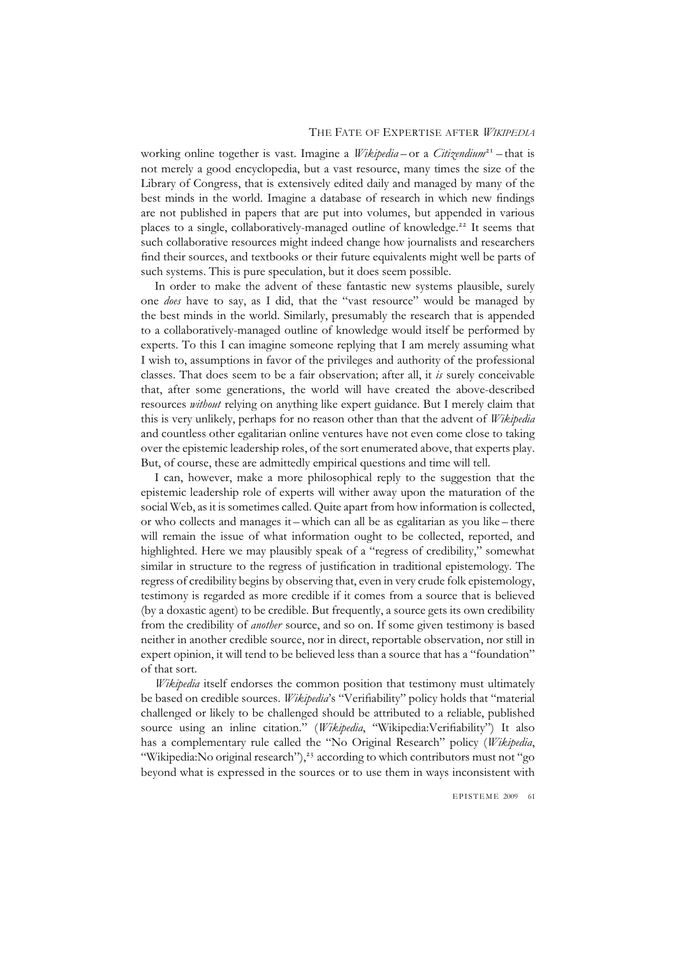working online together is vast. Imagine a *Wikipedia* – or a *Citizendium*<sup>21</sup> – that is not merely a good encyclopedia, but a vast resource, many times the size of the Library of Congress, that is extensively edited daily and managed by many of the best minds in the world. Imagine a database of research in which new findings are not published in papers that are put into volumes, but appended in various places to a single, collaboratively-managed outline of knowledge.<sup>22</sup> It seems that such collaborative resources might indeed change how journalists and researchers find their sources, and textbooks or their future equivalents might well be parts of such systems. This is pure speculation, but it does seem possible.

In order to make the advent of these fantastic new systems plausible, surely one *does* have to say, as I did, that the "vast resource" would be managed by the best minds in the world. Similarly, presumably the research that is appended to a collaboratively-managed outline of knowledge would itself be performed by experts. To this I can imagine someone replying that I am merely assuming what I wish to, assumptions in favor of the privileges and authority of the professional classes. That does seem to be a fair observation; after all, it *is* surely conceivable that, after some generations, the world will have created the above-described resources *without* relying on anything like expert guidance. But I merely claim that this is very unlikely, perhaps for no reason other than that the advent of *Wikipedia* and countless other egalitarian online ventures have not even come close to taking over the epistemic leadership roles, of the sort enumerated above, that experts play. But, of course, these are admittedly empirical questions and time will tell.

I can, however, make a more philosophical reply to the suggestion that the epistemic leadership role of experts will wither away upon the maturation of the social Web, as it is sometimes called. Quite apart from how information is collected, or who collects and manages it – which can all be as egalitarian as you like – there will remain the issue of what information ought to be collected, reported, and highlighted. Here we may plausibly speak of a "regress of credibility," somewhat similar in structure to the regress of justification in traditional epistemology. The regress of credibility begins by observing that, even in very crude folk epistemology, testimony is regarded as more credible if it comes from a source that is believed (by a doxastic agent) to be credible. But frequently, a source gets its own credibility from the credibility of *another* source, and so on. If some given testimony is based neither in another credible source, nor in direct, reportable observation, nor still in expert opinion, it will tend to be believed less than a source that has a "foundation" of that sort.

*Wikipedia* itself endorses the common position that testimony must ultimately be based on credible sources. *Wikipedia*'s "Verifiability" policy holds that "material challenged or likely to be challenged should be attributed to a reliable, published source using an inline citation." (*Wikipedia*, "Wikipedia:Verifiability") It also has a complementary rule called the "No Original Research" policy (*Wikipedia*, "Wikipedia:No original research"),<sup>23</sup> according to which contributors must not "go beyond what is expressed in the sources or to use them in ways inconsistent with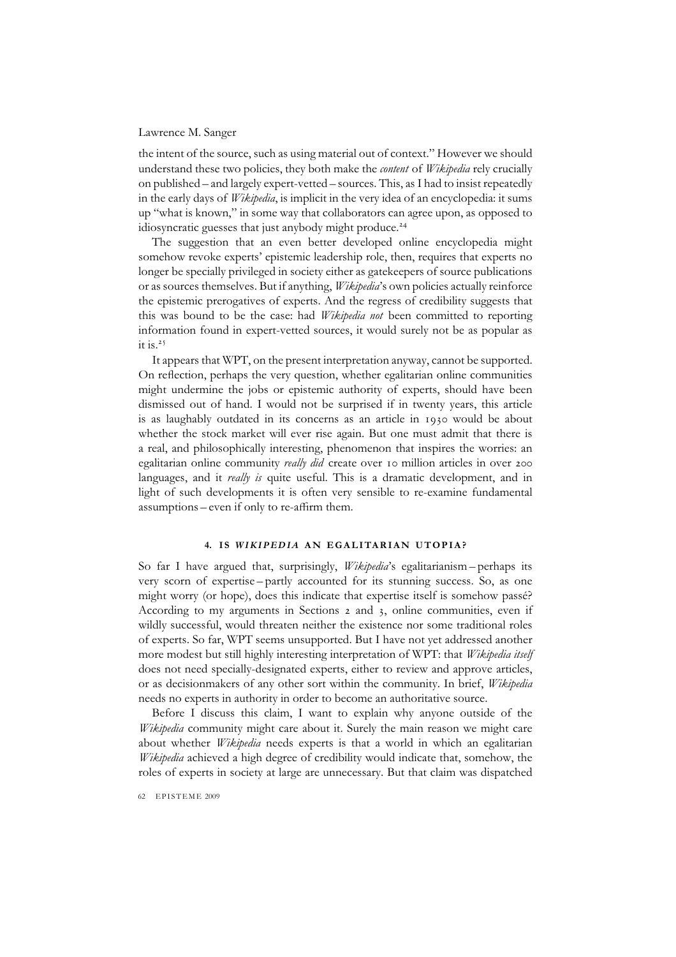the intent of the source, such as using material out of context." However we should understand these two policies, they both make the *content* of *Wikipedia* rely crucially on published – and largely expert-vetted – sources. This, as I had to insist repeatedly in the early days of *Wikipedia*, is implicit in the very idea of an encyclopedia: it sums up "what is known," in some way that collaborators can agree upon, as opposed to idiosyncratic guesses that just anybody might produce.<sup>24</sup>

The suggestion that an even better developed online encyclopedia might somehow revoke experts' epistemic leadership role, then, requires that experts no longer be specially privileged in society either as gatekeepers of source publications or as sources themselves. But if anything, *Wikipedia*'s own policies actually reinforce the epistemic prerogatives of experts. And the regress of credibility suggests that this was bound to be the case: had *Wikipedia not* been committed to reporting information found in expert-vetted sources, it would surely not be as popular as it is.<sup>25</sup>

It appears that WPT, on the present interpretation anyway, cannot be supported. On reflection, perhaps the very question, whether egalitarian online communities might undermine the jobs or epistemic authority of experts, should have been dismissed out of hand. I would not be surprised if in twenty years, this article is as laughably outdated in its concerns as an article in 1930 would be about whether the stock market will ever rise again. But one must admit that there is a real, and philosophically interesting, phenomenon that inspires the worries: an egalitarian online community *really did* create over 10 million articles in over 200 languages, and it *really is* quite useful. This is a dramatic development, and in light of such developments it is often very sensible to re-examine fundamental assumptions – even if only to re-affirm them.

## **4. I S** *WIKIPEDIA* **AN EGALITARIAN UTOPIA?**

So far I have argued that, surprisingly, *Wikipedia*'s egalitarianism – perhaps its very scorn of expertise – partly accounted for its stunning success. So, as one might worry (or hope), does this indicate that expertise itself is somehow passé? According to my arguments in Sections 2 and 3, online communities, even if wildly successful, would threaten neither the existence nor some traditional roles of experts. So far, WPT seems unsupported. But I have not yet addressed another more modest but still highly interesting interpretation of WPT: that *Wikipedia itself* does not need specially-designated experts, either to review and approve articles, or as decisionmakers of any other sort within the community. In brief, *Wikipedia* needs no experts in authority in order to become an authoritative source.

Before I discuss this claim, I want to explain why anyone outside of the *Wikipedia* community might care about it. Surely the main reason we might care about whether *Wikipedia* needs experts is that a world in which an egalitarian *Wikipedia* achieved a high degree of credibility would indicate that, somehow, the roles of experts in society at large are unnecessary. But that claim was dispatched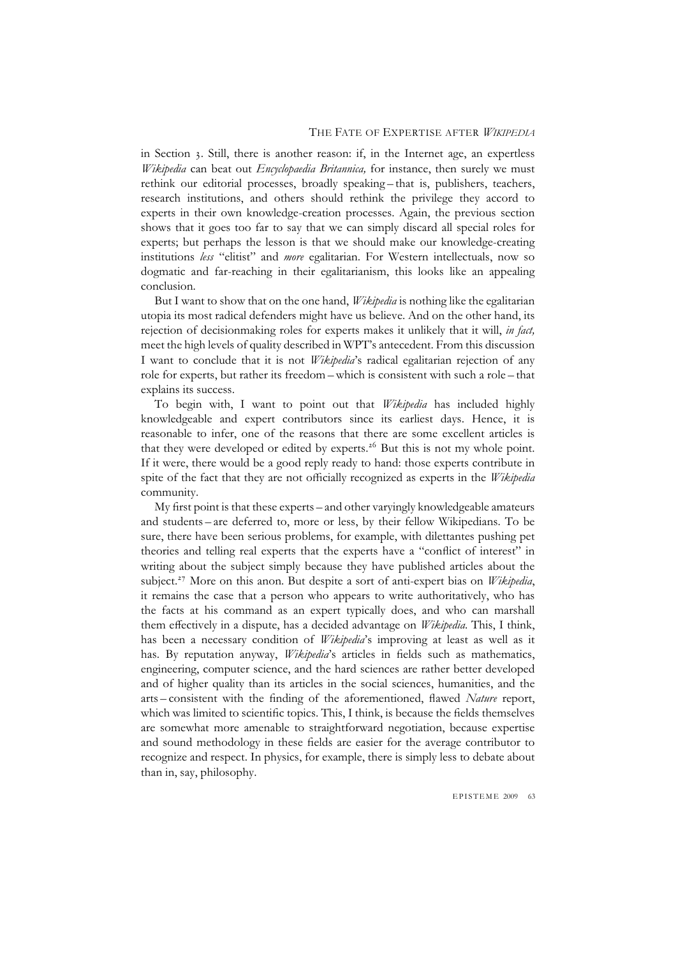in Section 3. Still, there is another reason: if, in the Internet age, an expertless *Wikipedia* can beat out *Encyclopaedia Britannica,* for instance, then surely we must rethink our editorial processes, broadly speaking – that is, publishers, teachers, research institutions, and others should rethink the privilege they accord to experts in their own knowledge-creation processes. Again, the previous section shows that it goes too far to say that we can simply discard all special roles for experts; but perhaps the lesson is that we should make our knowledge-creating institutions *less* "elitist" and *more* egalitarian. For Western intellectuals, now so dogmatic and far-reaching in their egalitarianism, this looks like an appealing conclusion.

But I want to show that on the one hand, *Wikipedia* is nothing like the egalitarian utopia its most radical defenders might have us believe. And on the other hand, its rejection of decisionmaking roles for experts makes it unlikely that it will, *in fact,* meet the high levels of quality described in WPT's antecedent. From this discussion I want to conclude that it is not *Wikipedia*'s radical egalitarian rejection of any role for experts, but rather its freedom – which is consistent with such a role – that explains its success.

To begin with, I want to point out that *Wikipedia* has included highly knowledgeable and expert contributors since its earliest days. Hence, it is reasonable to infer, one of the reasons that there are some excellent articles is that they were developed or edited by experts.<sup>26</sup> But this is not my whole point. If it were, there would be a good reply ready to hand: those experts contribute in spite of the fact that they are not officially recognized as experts in the *Wikipedia* community.

My first point is that these experts – and other varyingly knowledgeable amateurs and students – are deferred to, more or less, by their fellow Wikipedians. To be sure, there have been serious problems, for example, with dilettantes pushing pet theories and telling real experts that the experts have a "conflict of interest" in writing about the subject simply because they have published articles about the subject.<sup>27</sup> More on this anon. But despite a sort of anti-expert bias on *Wikipedia*, it remains the case that a person who appears to write authoritatively, who has the facts at his command as an expert typically does, and who can marshall them effectively in a dispute, has a decided advantage on *Wikipedia*. This, I think, has been a necessary condition of *Wikipedia*'s improving at least as well as it has. By reputation anyway, *Wikipedia*'s articles in fields such as mathematics, engineering, computer science, and the hard sciences are rather better developed and of higher quality than its articles in the social sciences, humanities, and the arts – consistent with the finding of the aforementioned, flawed *Nature* report, which was limited to scientific topics. This, I think, is because the fields themselves are somewhat more amenable to straightforward negotiation, because expertise and sound methodology in these fields are easier for the average contributor to recognize and respect. In physics, for example, there is simply less to debate about than in, say, philosophy.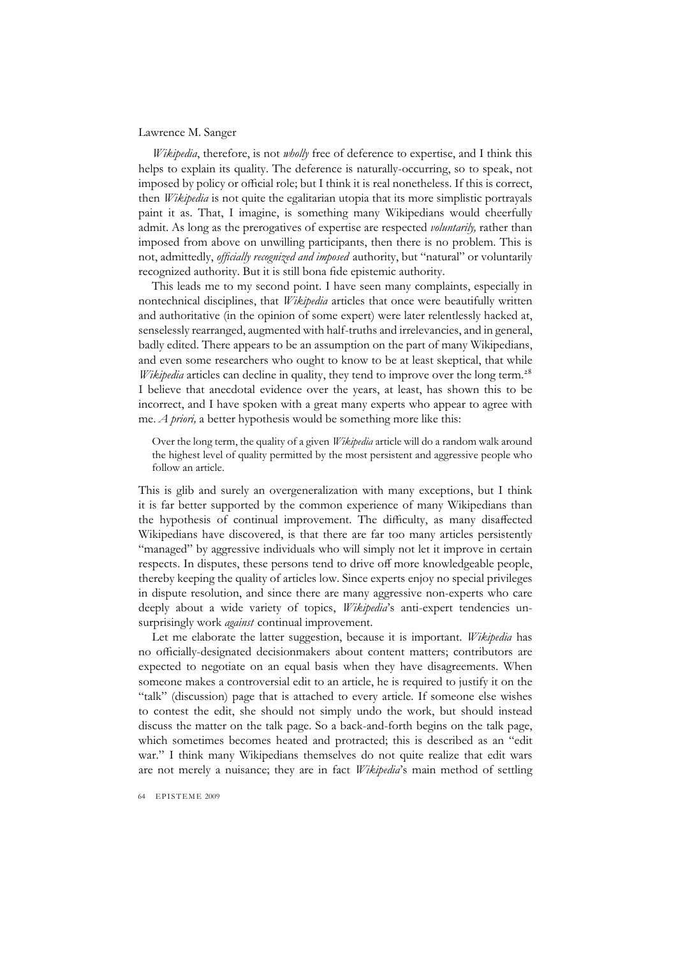*Wikipedia*, therefore, is not *wholly* free of deference to expertise, and I think this helps to explain its quality. The deference is naturally-occurring, so to speak, not imposed by policy or official role; but I think it is real nonetheless. If this is correct, then *Wikipedia* is not quite the egalitarian utopia that its more simplistic portrayals paint it as. That, I imagine, is something many Wikipedians would cheerfully admit. As long as the prerogatives of expertise are respected *voluntarily,* rather than imposed from above on unwilling participants, then there is no problem. This is not, admittedly, *officially recognized and imposed* authority, but "natural" or voluntarily recognized authority. But it is still bona fide epistemic authority.

This leads me to my second point. I have seen many complaints, especially in nontechnical disciplines, that *Wikipedia* articles that once were beautifully written and authoritative (in the opinion of some expert) were later relentlessly hacked at, senselessly rearranged, augmented with half-truths and irrelevancies, and in general, badly edited. There appears to be an assumption on the part of many Wikipedians, and even some researchers who ought to know to be at least skeptical, that while *Wikipedia* articles can decline in quality, they tend to improve over the long term.<sup>28</sup> I believe that anecdotal evidence over the years, at least, has shown this to be incorrect, and I have spoken with a great many experts who appear to agree with me. *A priori,* a better hypothesis would be something more like this:

Over the long term, the quality of a given *Wikipedia* article will do a random walk around the highest level of quality permitted by the most persistent and aggressive people who follow an article.

This is glib and surely an overgeneralization with many exceptions, but I think it is far better supported by the common experience of many Wikipedians than the hypothesis of continual improvement. The difficulty, as many disaffected Wikipedians have discovered, is that there are far too many articles persistently "managed" by aggressive individuals who will simply not let it improve in certain respects. In disputes, these persons tend to drive off more knowledgeable people, thereby keeping the quality of articles low. Since experts enjoy no special privileges in dispute resolution, and since there are many aggressive non-experts who care deeply about a wide variety of topics, *Wikipedia*'s anti-expert tendencies unsurprisingly work *against* continual improvement.

Let me elaborate the latter suggestion, because it is important. *Wikipedia* has no officially-designated decisionmakers about content matters; contributors are expected to negotiate on an equal basis when they have disagreements. When someone makes a controversial edit to an article, he is required to justify it on the "talk" (discussion) page that is attached to every article. If someone else wishes to contest the edit, she should not simply undo the work, but should instead discuss the matter on the talk page. So a back-and-forth begins on the talk page, which sometimes becomes heated and protracted; this is described as an "edit war." I think many Wikipedians themselves do not quite realize that edit wars are not merely a nuisance; they are in fact *Wikipedia*'s main method of settling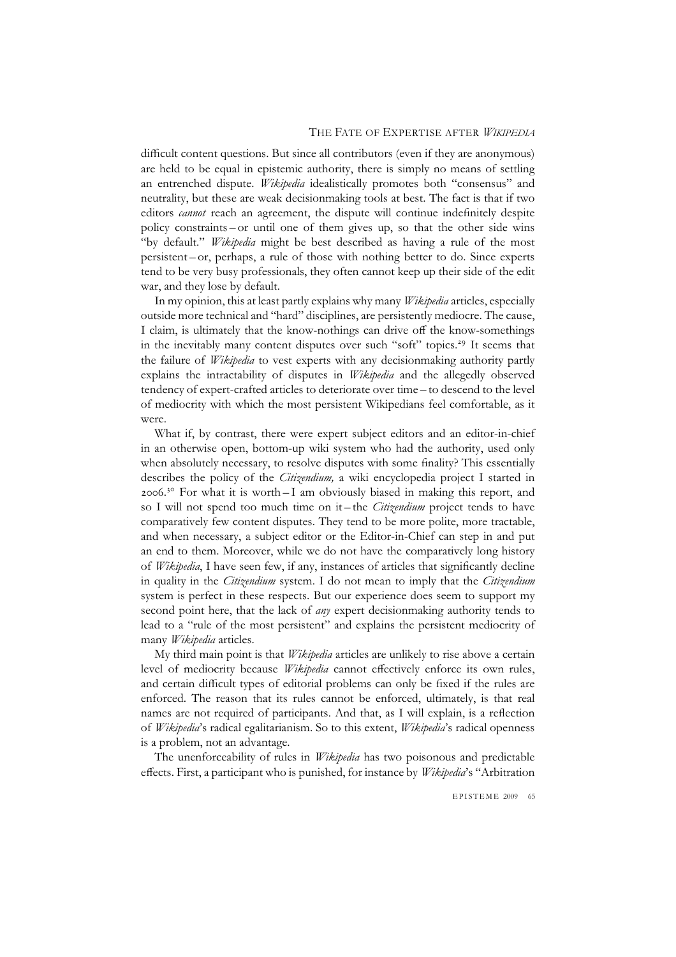difficult content questions. But since all contributors (even if they are anonymous) are held to be equal in epistemic authority, there is simply no means of settling an entrenched dispute. *Wikipedia* idealistically promotes both "consensus" and neutrality, but these are weak decisionmaking tools at best. The fact is that if two editors *cannot* reach an agreement, the dispute will continue indefinitely despite policy constraints – or until one of them gives up, so that the other side wins "by default." *Wikipedia* might be best described as having a rule of the most persistent – or, perhaps, a rule of those with nothing better to do. Since experts tend to be very busy professionals, they often cannot keep up their side of the edit war, and they lose by default.

In my opinion, this at least partly explains why many *Wikipedia* articles, especially outside more technical and "hard" disciplines, are persistently mediocre. The cause, I claim, is ultimately that the know-nothings can drive off the know-somethings in the inevitably many content disputes over such "soft" topics.<sup>29</sup> It seems that the failure of *Wikipedia* to vest experts with any decisionmaking authority partly explains the intractability of disputes in *Wikipedia* and the allegedly observed tendency of expert-crafted articles to deteriorate over time – to descend to the level of mediocrity with which the most persistent Wikipedians feel comfortable, as it were.

What if, by contrast, there were expert subject editors and an editor-in-chief in an otherwise open, bottom-up wiki system who had the authority, used only when absolutely necessary, to resolve disputes with some finality? This essentially describes the policy of the *Citizendium,* a wiki encyclopedia project I started in 2006.<sup>30</sup> For what it is worth  $-1$  am obviously biased in making this report, and so I will not spend too much time on it – the *Citizendium* project tends to have comparatively few content disputes. They tend to be more polite, more tractable, and when necessary, a subject editor or the Editor-in-Chief can step in and put an end to them. Moreover, while we do not have the comparatively long history of *Wikipedia*, I have seen few, if any, instances of articles that significantly decline in quality in the *Citizendium* system. I do not mean to imply that the *Citizendium* system is perfect in these respects. But our experience does seem to support my second point here, that the lack of *any* expert decisionmaking authority tends to lead to a "rule of the most persistent" and explains the persistent mediocrity of many *Wikipedia* articles.

My third main point is that *Wikipedia* articles are unlikely to rise above a certain level of mediocrity because *Wikipedia* cannot effectively enforce its own rules, and certain difficult types of editorial problems can only be fixed if the rules are enforced. The reason that its rules cannot be enforced, ultimately, is that real names are not required of participants. And that, as I will explain, is a reflection of *Wikipedia*'s radical egalitarianism. So to this extent, *Wikipedia*'s radical openness is a problem, not an advantage.

The unenforceability of rules in *Wikipedia* has two poisonous and predictable effects. First, a participant who is punished, for instance by *Wikipedia*'s "Arbitration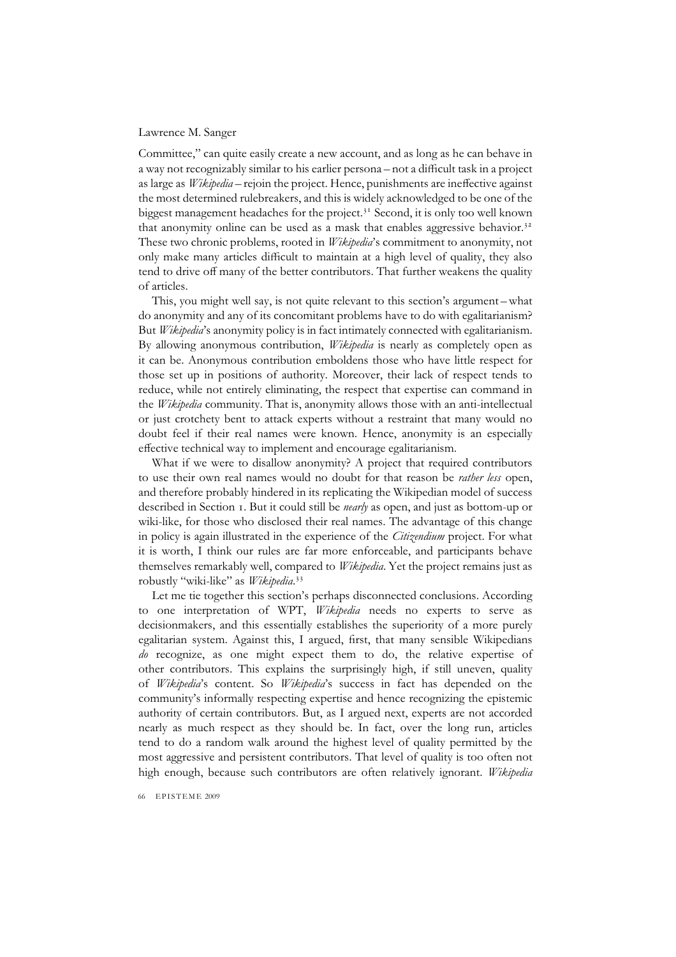Committee," can quite easily create a new account, and as long as he can behave in a way not recognizably similar to his earlier persona – not a difficult task in a project as large as *Wikipedia* – rejoin the project. Hence, punishments are ineffective against the most determined rulebreakers, and this is widely acknowledged to be one of the biggest management headaches for the project. $3<sup>1</sup>$  Second, it is only too well known that anonymity online can be used as a mask that enables aggressive behavior.<sup>32</sup> These two chronic problems, rooted in *Wikipedia*'s commitment to anonymity, not only make many articles difficult to maintain at a high level of quality, they also tend to drive off many of the better contributors. That further weakens the quality of articles.

This, you might well say, is not quite relevant to this section's argument – what do anonymity and any of its concomitant problems have to do with egalitarianism? But *Wikipedia*'s anonymity policy is in fact intimately connected with egalitarianism. By allowing anonymous contribution, *Wikipedia* is nearly as completely open as it can be. Anonymous contribution emboldens those who have little respect for those set up in positions of authority. Moreover, their lack of respect tends to reduce, while not entirely eliminating, the respect that expertise can command in the *Wikipedia* community. That is, anonymity allows those with an anti-intellectual or just crotchety bent to attack experts without a restraint that many would no doubt feel if their real names were known. Hence, anonymity is an especially effective technical way to implement and encourage egalitarianism.

What if we were to disallow anonymity? A project that required contributors to use their own real names would no doubt for that reason be *rather less* open, and therefore probably hindered in its replicating the Wikipedian model of success described in Section 1. But it could still be *nearly* as open, and just as bottom-up or wiki-like, for those who disclosed their real names. The advantage of this change in policy is again illustrated in the experience of the *Citizendium* project. For what it is worth, I think our rules are far more enforceable, and participants behave themselves remarkably well, compared to *Wikipedia*. Yet the project remains just as robustly "wiki-like" as *Wikipedia*. 33

Let me tie together this section's perhaps disconnected conclusions. According to one interpretation of WPT, *Wikipedia* needs no experts to serve as decisionmakers, and this essentially establishes the superiority of a more purely egalitarian system. Against this, I argued, first, that many sensible Wikipedians *do* recognize, as one might expect them to do, the relative expertise of other contributors. This explains the surprisingly high, if still uneven, quality of *Wikipedia*'s content. So *Wikipedia*'s success in fact has depended on the community's informally respecting expertise and hence recognizing the epistemic authority of certain contributors. But, as I argued next, experts are not accorded nearly as much respect as they should be. In fact, over the long run, articles tend to do a random walk around the highest level of quality permitted by the most aggressive and persistent contributors. That level of quality is too often not high enough, because such contributors are often relatively ignorant. *Wikipedia*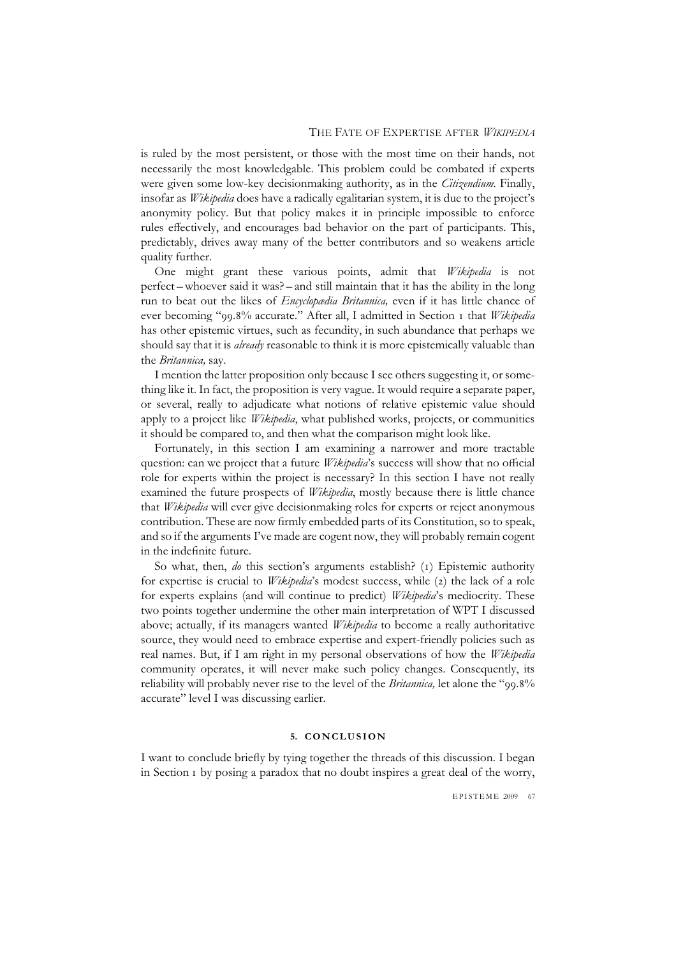is ruled by the most persistent, or those with the most time on their hands, not necessarily the most knowledgable. This problem could be combated if experts were given some low-key decisionmaking authority, as in the *Citizendium.* Finally, insofar as *Wikipedia* does have a radically egalitarian system, it is due to the project's anonymity policy. But that policy makes it in principle impossible to enforce rules effectively, and encourages bad behavior on the part of participants. This, predictably, drives away many of the better contributors and so weakens article quality further.

One might grant these various points, admit that *Wikipedia* is not perfect – whoever said it was? – and still maintain that it has the ability in the long run to beat out the likes of *Encyclopædia Britannica,* even if it has little chance of ever becoming "99.8% accurate." After all, I admitted in Section 1 that *Wikipedia* has other epistemic virtues, such as fecundity, in such abundance that perhaps we should say that it is *already* reasonable to think it is more epistemically valuable than the *Britannica,* say.

I mention the latter proposition only because I see others suggesting it, or something like it. In fact, the proposition is very vague. It would require a separate paper, or several, really to adjudicate what notions of relative epistemic value should apply to a project like *Wikipedia*, what published works, projects, or communities it should be compared to, and then what the comparison might look like.

Fortunately, in this section I am examining a narrower and more tractable question: can we project that a future *Wikipedia*'s success will show that no official role for experts within the project is necessary? In this section I have not really examined the future prospects of *Wikipedia*, mostly because there is little chance that *Wikipedia* will ever give decisionmaking roles for experts or reject anonymous contribution. These are now firmly embedded parts of its Constitution, so to speak, and so if the arguments I've made are cogent now, they will probably remain cogent in the indefinite future.

So what, then, *do* this section's arguments establish? (1) Epistemic authority for expertise is crucial to *Wikipedia*'s modest success, while (2) the lack of a role for experts explains (and will continue to predict) *Wikipedia*'s mediocrity. These two points together undermine the other main interpretation of WPT I discussed above; actually, if its managers wanted *Wikipedia* to become a really authoritative source, they would need to embrace expertise and expert-friendly policies such as real names. But, if I am right in my personal observations of how the *Wikipedia* community operates, it will never make such policy changes. Consequently, its reliability will probably never rise to the level of the *Britannica,* let alone the "99.8% accurate" level I was discussing earlier.

#### **5. C O N C L U S I O N**

I want to conclude briefly by tying together the threads of this discussion. I began in Section 1 by posing a paradox that no doubt inspires a great deal of the worry,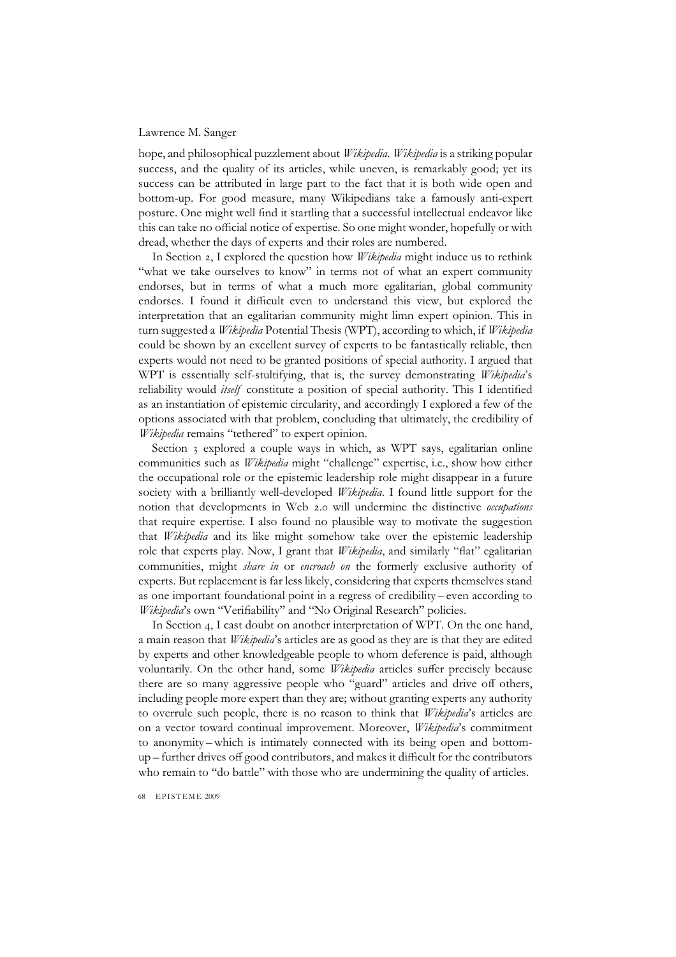hope, and philosophical puzzlement about *Wikipedia*. *Wikipedia* is a striking popular success, and the quality of its articles, while uneven, is remarkably good; yet its success can be attributed in large part to the fact that it is both wide open and bottom-up. For good measure, many Wikipedians take a famously anti-expert posture. One might well find it startling that a successful intellectual endeavor like this can take no official notice of expertise. So one might wonder, hopefully or with dread, whether the days of experts and their roles are numbered.

In Section 2, I explored the question how *Wikipedia* might induce us to rethink "what we take ourselves to know" in terms not of what an expert community endorses, but in terms of what a much more egalitarian, global community endorses. I found it difficult even to understand this view, but explored the interpretation that an egalitarian community might limn expert opinion. This in turn suggested a *Wikipedia* Potential Thesis (WPT), according to which, if *Wikipedia* could be shown by an excellent survey of experts to be fantastically reliable, then experts would not need to be granted positions of special authority. I argued that WPT is essentially self-stultifying, that is, the survey demonstrating *Wikipedia*'s reliability would *itself* constitute a position of special authority. This I identified as an instantiation of epistemic circularity, and accordingly I explored a few of the options associated with that problem, concluding that ultimately, the credibility of *Wikipedia* remains "tethered" to expert opinion.

Section 3 explored a couple ways in which, as WPT says, egalitarian online communities such as *Wikipedia* might "challenge" expertise, i.e., show how either the occupational role or the epistemic leadership role might disappear in a future society with a brilliantly well-developed *Wikipedia*. I found little support for the notion that developments in Web 2.0 will undermine the distinctive *occupations* that require expertise. I also found no plausible way to motivate the suggestion that *Wikipedia* and its like might somehow take over the epistemic leadership role that experts play. Now, I grant that *Wikipedia*, and similarly "flat" egalitarian communities, might *share in* or *encroach on* the formerly exclusive authority of experts. But replacement is far less likely, considering that experts themselves stand as one important foundational point in a regress of credibility – even according to *Wikipedia*'s own "Verifiability" and "No Original Research" policies.

In Section 4, I cast doubt on another interpretation of WPT. On the one hand, a main reason that *Wikipedia*'s articles are as good as they are is that they are edited by experts and other knowledgeable people to whom deference is paid, although voluntarily. On the other hand, some *Wikipedia* articles suffer precisely because there are so many aggressive people who "guard" articles and drive off others, including people more expert than they are; without granting experts any authority to overrule such people, there is no reason to think that *Wikipedia*'s articles are on a vector toward continual improvement. Moreover, *Wikipedia*'s commitment to anonymity – which is intimately connected with its being open and bottomup – further drives off good contributors, and makes it difficult for the contributors who remain to "do battle" with those who are undermining the quality of articles.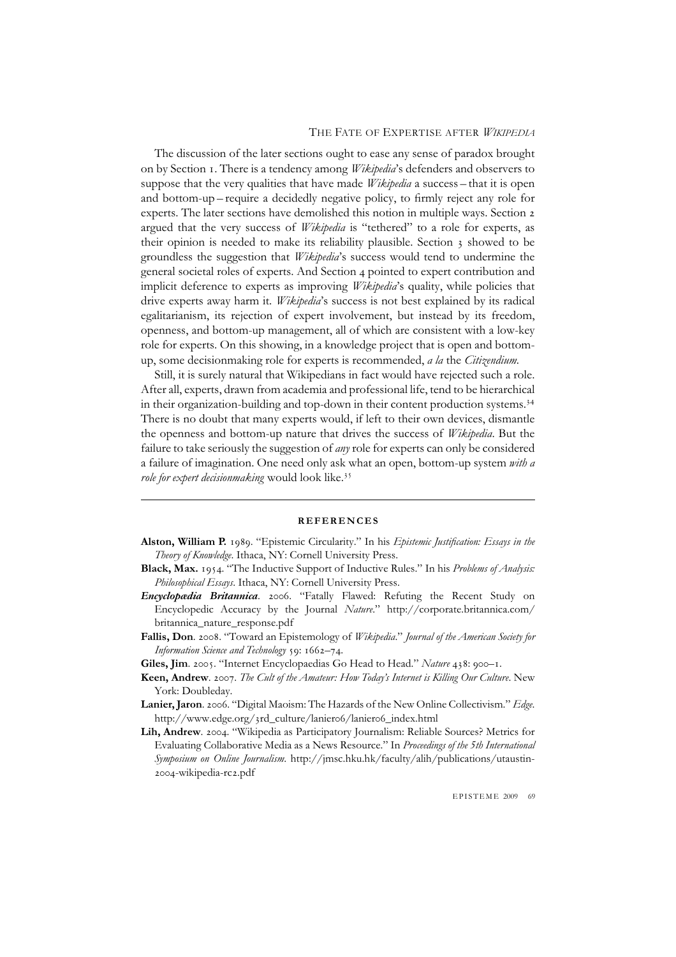The discussion of the later sections ought to ease any sense of paradox brought on by Section 1. There is a tendency among *Wikipedia*'s defenders and observers to suppose that the very qualities that have made *Wikipedia* a success – that it is open and bottom-up – require a decidedly negative policy, to firmly reject any role for experts. The later sections have demolished this notion in multiple ways. Section 2 argued that the very success of *Wikipedia* is "tethered" to a role for experts, as their opinion is needed to make its reliability plausible. Section 3 showed to be groundless the suggestion that *Wikipedia*'s success would tend to undermine the general societal roles of experts. And Section 4 pointed to expert contribution and implicit deference to experts as improving *Wikipedia*'s quality, while policies that drive experts away harm it. *Wikipedia*'s success is not best explained by its radical egalitarianism, its rejection of expert involvement, but instead by its freedom, openness, and bottom-up management, all of which are consistent with a low-key role for experts. On this showing, in a knowledge project that is open and bottomup, some decisionmaking role for experts is recommended, *a la* the *Citizendium.*

Still, it is surely natural that Wikipedians in fact would have rejected such a role. After all, experts, drawn from academia and professional life, tend to be hierarchical in their organization-building and top-down in their content production systems.<sup>34</sup> There is no doubt that many experts would, if left to their own devices, dismantle the openness and bottom-up nature that drives the success of *Wikipedia*. But the failure to take seriously the suggestion of *any* role for experts can only be considered a failure of imagination. One need only ask what an open, bottom-up system *with a role for expert decisionmaking* would look like.<sup>35</sup>

## **REFERENCES**

- **Alston, William P.** 1989. "Epistemic Circularity." In his *Epistemic Justification: Essays in the Theory of Knowledge*. Ithaca, NY: Cornell University Press.
- **Black, Max.** 1954. "The Inductive Support of Inductive Rules." In his *Problems of Analysis: Philosophical Essays*. Ithaca, NY: Cornell University Press.
- *Encyclopædia Britannica*. 2006. "Fatally Flawed: Refuting the Recent Study on Encyclopedic Accuracy by the Journal *Nature*." http://corporate.britannica.com/ britannica\_nature\_response.pdf
- **Fallis, Don**. 2008. "Toward an Epistemology of *Wikipedia*." *Journal of the American Society for Information Science and Technology* 59: 1662–74.
- **Giles, Jim**. 2005. "Internet Encyclopaedias Go Head to Head." *Nature* 438: 900–1.
- **Keen, Andrew**. 2007. *The Cult of the Amateur: How Today's Internet is Killing Our Culture*. New York: Doubleday.
- **Lanier, Jaron**. 2006. "Digital Maoism: The Hazards of the New Online Collectivism." *Edge*. http://www.edge.org/3rd\_culture/lanier06/lanier06\_index.html
- **Lih, Andrew**. 2004. "Wikipedia as Participatory Journalism: Reliable Sources? Metrics for Evaluating Collaborative Media as a News Resource." In *Proceedings of the 5th International Symposium on Online Journalism*. http://jmsc.hku.hk/faculty/alih/publications/utaustin-2004-wikipedia-rc2.pdf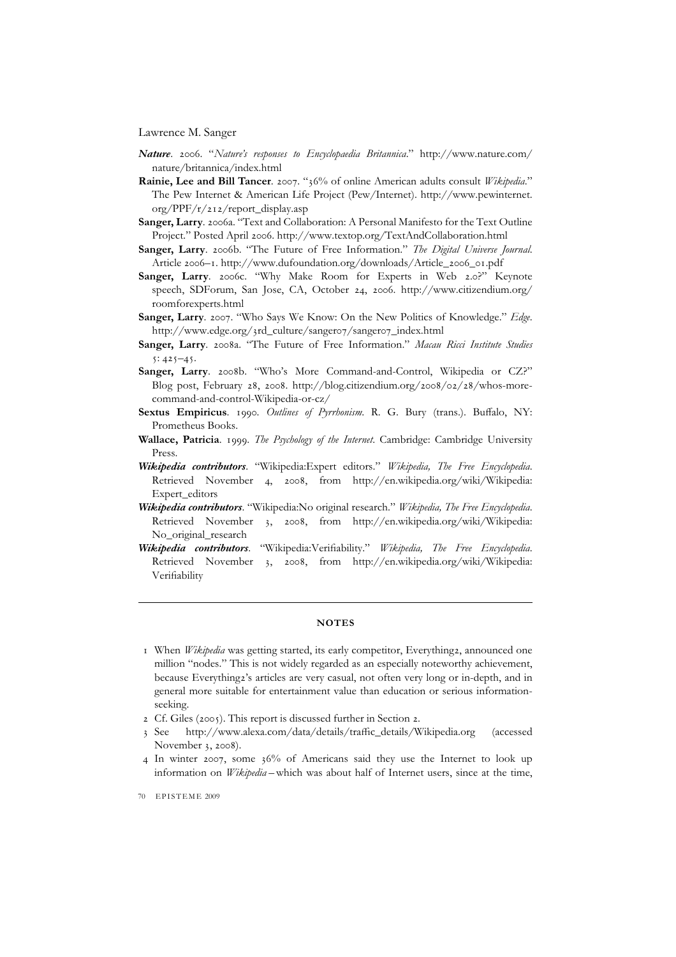- *Nature*. 2006. "*Nature's responses to Encyclopaedia Britannica*." http://www.nature.com/ nature/britannica/index.html
- **Rainie, Lee and Bill Tancer**. 2007. "36% of online American adults consult *Wikipedia*." The Pew Internet & American Life Project (Pew/Internet). http://www.pewinternet. org/PPF/r/212/report\_display.asp
- **Sanger, Larry**. 2006a. "Text and Collaboration: A Personal Manifesto for the Text Outline Project." Posted April 2006. http://www.textop.org/TextAndCollaboration.html
- **Sanger, Larry**. 2006b. "The Future of Free Information." *The Digital Universe Journal*. Article 2006–1. http://www.dufoundation.org/downloads/Article\_2006\_01.pdf
- **Sanger, Larry**. 2006c. "Why Make Room for Experts in Web 2.0?" Keynote speech, SDForum, San Jose, CA, October 24, 2006. http://www.citizendium.org/ roomforexperts.html
- **Sanger, Larry**. 2007. "Who Says We Know: On the New Politics of Knowledge." *Edge*. http://www.edge.org/3rd\_culture/sanger07/sanger07\_index.html
- **Sanger, Larry**. 2008a. "The Future of Free Information." *Macau Ricci Institute Studies*  $5: 425 - 45.$
- **Sanger, Larry**. 2008b. "Who's More Command-and-Control, Wikipedia or CZ?" Blog post, February 28, 2008. http://blog.citizendium.org/2008/02/28/whos-morecommand-and-control-Wikipedia-or-cz/
- **Sextus Empiricus**. 1990. *Outlines of Pyrrhonism*. R. G. Bury (trans.). Buffalo, NY: Prometheus Books.
- **Wallace, Patricia**. 1999. *The Psychology of the Internet*. Cambridge: Cambridge University Press.
- *Wikipedia contributors*. "Wikipedia:Expert editors." *Wikipedia, The Free Encyclopedia*. Retrieved November 4, 2008, from http://en.wikipedia.org/wiki/Wikipedia: Expert\_editors
- *Wikipedia contributors*. "Wikipedia:No original research." *Wikipedia, The Free Encyclopedia*. Retrieved November 3, 2008, from http://en.wikipedia.org/wiki/Wikipedia: No original research
- *Wikipedia contributors*. "Wikipedia:Verifiability." *Wikipedia, The Free Encyclopedia*. Retrieved November 3, 2008, from http://en.wikipedia.org/wiki/Wikipedia: Verifiability

## **NOTES**

- 1 When *Wikipedia* was getting started, its early competitor, Everything2, announced one million "nodes." This is not widely regarded as an especially noteworthy achievement, because Everything2's articles are very casual, not often very long or in-depth, and in general more suitable for entertainment value than education or serious informationseeking.
- 2 Cf. Giles (2005). This report is discussed further in Section 2.
- 3 See http://www.alexa.com/data/details/traffic\_details/Wikipedia.org (accessed November 3, 2008).
- 4 In winter 2007, some 36% of Americans said they use the Internet to look up information on *Wikipedia* – which was about half of Internet users, since at the time,

<sup>70</sup> EPISTEME 2009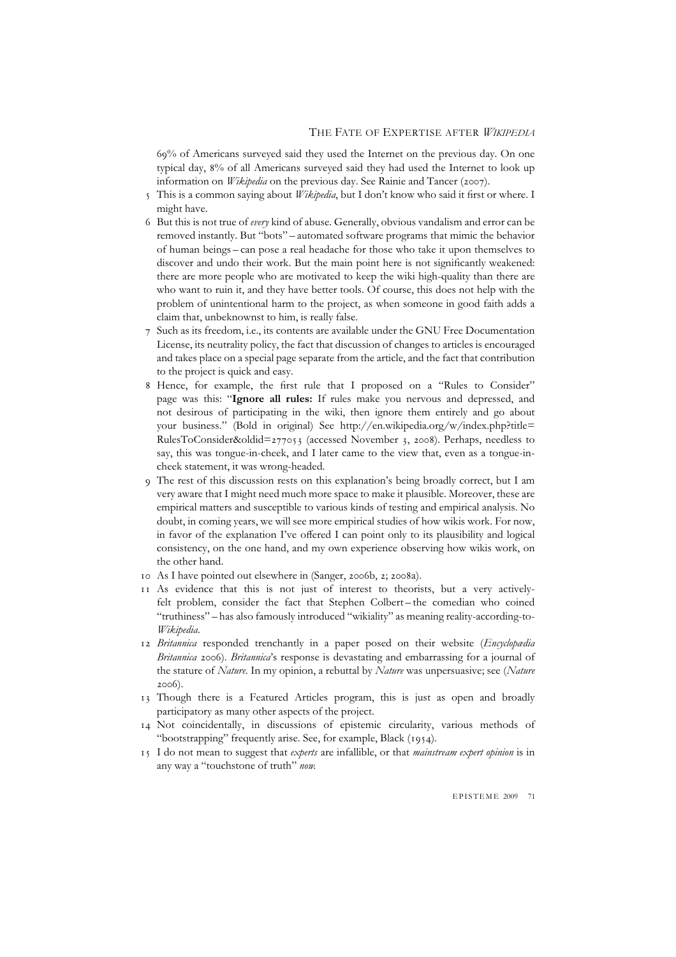69% of Americans surveyed said they used the Internet on the previous day. On one typical day, 8% of all Americans surveyed said they had used the Internet to look up information on *Wikipedia* on the previous day. See Rainie and Tancer (2007).

- This is a common saying about *Wikipedia*, but I don't know who said it first or where. I might have.
- 6 But this is not true of *every* kind of abuse. Generally, obvious vandalism and error can be removed instantly. But "bots" – automated software programs that mimic the behavior of human beings – can pose a real headache for those who take it upon themselves to discover and undo their work. But the main point here is not significantly weakened: there are more people who are motivated to keep the wiki high-quality than there are who want to ruin it, and they have better tools. Of course, this does not help with the problem of unintentional harm to the project, as when someone in good faith adds a claim that, unbeknownst to him, is really false.
- Such as its freedom, i.e., its contents are available under the GNU Free Documentation License, its neutrality policy, the fact that discussion of changes to articles is encouraged and takes place on a special page separate from the article, and the fact that contribution to the project is quick and easy.
- 8 Hence, for example, the first rule that I proposed on a "Rules to Consider" page was this: "**Ignore all rules:** If rules make you nervous and depressed, and not desirous of participating in the wiki, then ignore them entirely and go about your business." (Bold in original) See http://en.wikipedia.org/w/index.php?title= RulesToConsider&oldid=277053 (accessed November 3, 2008). Perhaps, needless to say, this was tongue-in-cheek, and I later came to the view that, even as a tongue-incheek statement, it was wrong-headed.
- 9 The rest of this discussion rests on this explanation's being broadly correct, but I am very aware that I might need much more space to make it plausible. Moreover, these are empirical matters and susceptible to various kinds of testing and empirical analysis. No doubt, in coming years, we will see more empirical studies of how wikis work. For now, in favor of the explanation I've offered I can point only to its plausibility and logical consistency, on the one hand, and my own experience observing how wikis work, on the other hand.
- 10 As I have pointed out elsewhere in (Sanger, 2006b, 2; 2008a).
- 11 As evidence that this is not just of interest to theorists, but a very activelyfelt problem, consider the fact that Stephen Colbert – the comedian who coined "truthiness" – has also famously introduced "wikiality" as meaning reality-according-to-*Wikipedia*.
- 12 *Britannica* responded trenchantly in a paper posed on their website (*Encyclopædia Britannica* 2006). *Britannica*'s response is devastating and embarrassing for a journal of the stature of *Nature.* In my opinion, a rebuttal by *Nature* was unpersuasive; see (*Nature* 2006).
- 13 Though there is a Featured Articles program, this is just as open and broadly participatory as many other aspects of the project.
- 14 Not coincidentally, in discussions of epistemic circularity, various methods of "bootstrapping" frequently arise. See, for example, Black (1954).
- 15 I do not mean to suggest that *experts* are infallible, or that *mainstream expert opinion* is in any way a "touchstone of truth" *now.*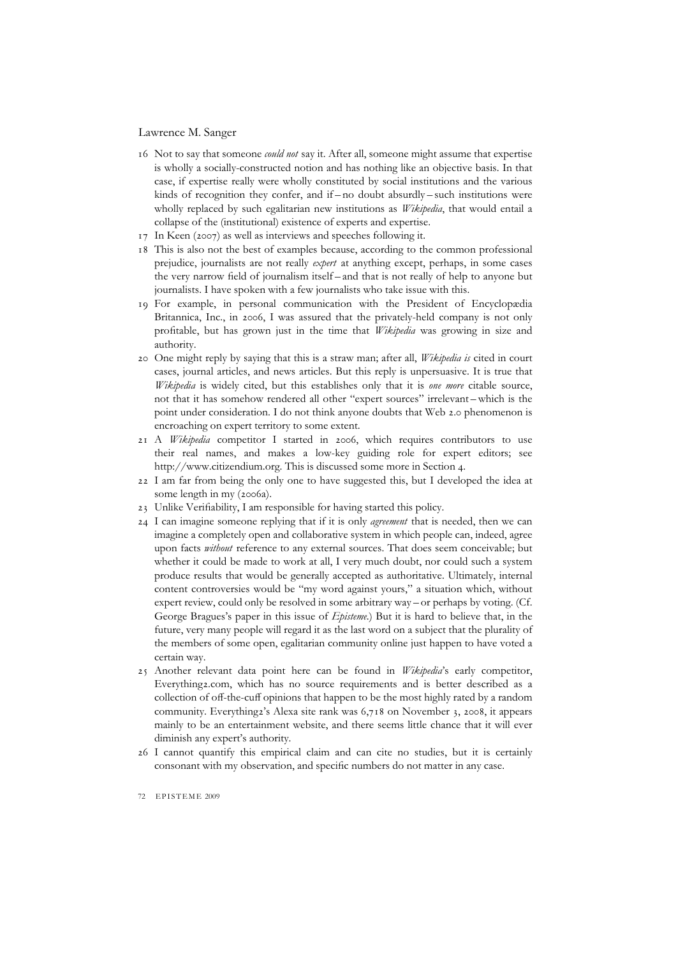- 16 Not to say that someone *could not* say it. After all, someone might assume that expertise is wholly a socially-constructed notion and has nothing like an objective basis. In that case, if expertise really were wholly constituted by social institutions and the various kinds of recognition they confer, and if – no doubt absurdly – such institutions were wholly replaced by such egalitarian new institutions as *Wikipedia*, that would entail a collapse of the (institutional) existence of experts and expertise.
- 17 In Keen (2007) as well as interviews and speeches following it.
- 18 This is also not the best of examples because, according to the common professional prejudice, journalists are not really *expert* at anything except, perhaps, in some cases the very narrow field of journalism itself – and that is not really of help to anyone but journalists. I have spoken with a few journalists who take issue with this.
- 19 For example, in personal communication with the President of Encyclopædia Britannica, Inc., in 2006, I was assured that the privately-held company is not only profitable, but has grown just in the time that *Wikipedia* was growing in size and authority.
- 20 One might reply by saying that this is a straw man; after all, *Wikipedia is* cited in court cases, journal articles, and news articles. But this reply is unpersuasive. It is true that *Wikipedia* is widely cited, but this establishes only that it is *one more* citable source, not that it has somehow rendered all other "expert sources" irrelevant – which is the point under consideration. I do not think anyone doubts that Web 2.0 phenomenon is encroaching on expert territory to some extent.
- 21 A *Wikipedia* competitor I started in 2006, which requires contributors to use their real names, and makes a low-key guiding role for expert editors; see http://www.citizendium.org. This is discussed some more in Section 4.
- 22 I am far from being the only one to have suggested this, but I developed the idea at some length in my (2006a).
- 23 Unlike Verifiability, I am responsible for having started this policy.
- 24 I can imagine someone replying that if it is only *agreement* that is needed, then we can imagine a completely open and collaborative system in which people can, indeed, agree upon facts *without* reference to any external sources. That does seem conceivable; but whether it could be made to work at all, I very much doubt, nor could such a system produce results that would be generally accepted as authoritative. Ultimately, internal content controversies would be "my word against yours," a situation which, without expert review, could only be resolved in some arbitrary way – or perhaps by voting. (Cf. George Bragues's paper in this issue of *Episteme.*) But it is hard to believe that, in the future, very many people will regard it as the last word on a subject that the plurality of the members of some open, egalitarian community online just happen to have voted a certain way.
- 25 Another relevant data point here can be found in *Wikipedia*'s early competitor, Everything2.com, which has no source requirements and is better described as a collection of off-the-cuff opinions that happen to be the most highly rated by a random community. Everything2's Alexa site rank was 6,718 on November 3, 2008, it appears mainly to be an entertainment website, and there seems little chance that it will ever diminish any expert's authority.
- 26 I cannot quantify this empirical claim and can cite no studies, but it is certainly consonant with my observation, and specific numbers do not matter in any case.